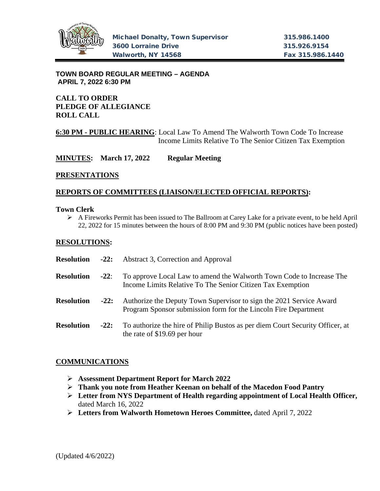

**TOWN BOARD REGULAR MEETING – AGENDA APRIL 7, 2022 6:30 PM**

# **CALL TO ORDER PLEDGE OF ALLEGIANCE ROLL CALL**

### **6:30 PM - PUBLIC HEARING**: Local Law To Amend The Walworth Town Code To Increase Income Limits Relative To The Senior Citizen Tax Exemption

**MINUTES: March 17, 2022 Regular Meeting**

#### **PRESENTATIONS**

## **REPORTS OF COMMITTEES (LIAISON/ELECTED OFFICIAL REPORTS):**

#### **Town Clerk**

 $\triangleright$  A Fireworks Permit has been issued to The Ballroom at Carey Lake for a private event, to be held April 22, 2022 for 15 minutes between the hours of 8:00 PM and 9:30 PM (public notices have been posted)

## **RESOLUTIONS:**

| <b>Resolution</b> | $-22:$ | Abstract 3, Correction and Approval                                                                                                    |
|-------------------|--------|----------------------------------------------------------------------------------------------------------------------------------------|
| <b>Resolution</b> | $-22:$ | To approve Local Law to amend the Walworth Town Code to Increase The<br>Income Limits Relative To The Senior Citizen Tax Exemption     |
| <b>Resolution</b> | $-22:$ | Authorize the Deputy Town Supervisor to sign the 2021 Service Award<br>Program Sponsor submission form for the Lincoln Fire Department |
| <b>Resolution</b> | $-22:$ | To authorize the hire of Philip Bustos as per diem Court Security Officer, at<br>the rate of \$19.69 per hour                          |

#### **COMMUNICATIONS**

- **Assessment Department Report for March 2022**
- **Thank you note from Heather Keenan on behalf of the Macedon Food Pantry**
- **Letter from NYS Department of Health regarding appointment of Local Health Officer,**  dated March 16, 2022
- **Letters from Walworth Hometown Heroes Committee,** dated April 7, 2022